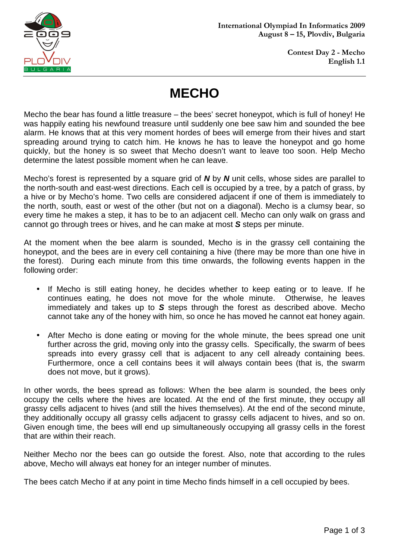

# **MECHO**

Mecho the bear has found a little treasure – the bees' secret honeypot, which is full of honey! He was happily eating his newfound treasure until suddenly one bee saw him and sounded the bee alarm. He knows that at this very moment hordes of bees will emerge from their hives and start spreading around trying to catch him. He knows he has to leave the honeypot and go home quickly, but the honey is so sweet that Mecho doesn't want to leave too soon. Help Mecho determine the latest possible moment when he can leave.

Mecho's forest is represented by a square grid of **N** by **N** unit cells, whose sides are parallel to the north-south and east-west directions. Each cell is occupied by a tree, by a patch of grass, by a hive or by Mecho's home. Two cells are considered adjacent if one of them is immediately to the north, south, east or west of the other (but not on a diagonal). Mecho is a clumsy bear, so every time he makes a step, it has to be to an adjacent cell. Mecho can only walk on grass and cannot go through trees or hives, and he can make at most **S** steps per minute.

At the moment when the bee alarm is sounded, Mecho is in the grassy cell containing the honeypot, and the bees are in every cell containing a hive (there may be more than one hive in the forest). During each minute from this time onwards, the following events happen in the following order:

- If Mecho is still eating honey, he decides whether to keep eating or to leave. If he continues eating, he does not move for the whole minute. Otherwise, he leaves immediately and takes up to **S** steps through the forest as described above. Mecho cannot take any of the honey with him, so once he has moved he cannot eat honey again.
- After Mecho is done eating or moving for the whole minute, the bees spread one unit further across the grid, moving only into the grassy cells. Specifically, the swarm of bees spreads into every grassy cell that is adjacent to any cell already containing bees. Furthermore, once a cell contains bees it will always contain bees (that is, the swarm does not move, but it grows).

In other words, the bees spread as follows: When the bee alarm is sounded, the bees only occupy the cells where the hives are located. At the end of the first minute, they occupy all grassy cells adjacent to hives (and still the hives themselves). At the end of the second minute, they additionally occupy all grassy cells adjacent to grassy cells adjacent to hives, and so on. Given enough time, the bees will end up simultaneously occupying all grassy cells in the forest that are within their reach.

Neither Mecho nor the bees can go outside the forest. Also, note that according to the rules above, Mecho will always eat honey for an integer number of minutes.

The bees catch Mecho if at any point in time Mecho finds himself in a cell occupied by bees.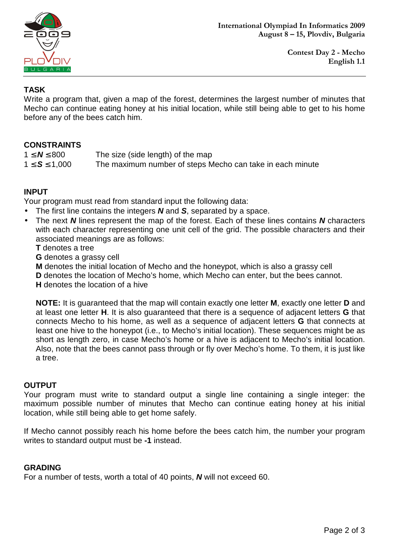

### **TASK**

Write a program that, given a map of the forest, determines the largest number of minutes that Mecho can continue eating honey at his initial location, while still being able to get to his home before any of the bees catch him.

## **CONSTRAINTS**

| $1 \leq N \leq 800$ | The size (side length) of the map                         |
|---------------------|-----------------------------------------------------------|
| $1 \le S \le 1,000$ | The maximum number of steps Mecho can take in each minute |

## **INPUT**

Your program must read from standard input the following data:

- The first line contains the integers **N** and **S**, separated by a space.
- The next **N** lines represent the map of the forest. Each of these lines contains **N** characters with each character representing one unit cell of the grid. The possible characters and their associated meanings are as follows:

**T** denotes a tree

**G** denotes a grassy cell

**M** denotes the initial location of Mecho and the honeypot, which is also a grassy cell

**D** denotes the location of Mecho's home, which Mecho can enter, but the bees cannot.

**H** denotes the location of a hive

**NOTE:** It is guaranteed that the map will contain exactly one letter **M**, exactly one letter **D** and at least one letter **H**. It is also guaranteed that there is a sequence of adjacent letters **G** that connects Mecho to his home, as well as a sequence of adjacent letters **G** that connects at least one hive to the honeypot (i.e., to Mecho's initial location). These sequences might be as short as length zero, in case Mecho's home or a hive is adjacent to Mecho's initial location. Also, note that the bees cannot pass through or fly over Mecho's home. To them, it is just like a tree.

### **OUTPUT**

Your program must write to standard output a single line containing a single integer: the maximum possible number of minutes that Mecho can continue eating honey at his initial location, while still being able to get home safely.

If Mecho cannot possibly reach his home before the bees catch him, the number your program writes to standard output must be **-1** instead.

### **GRADING**

For a number of tests, worth a total of 40 points, **N** will not exceed 60.